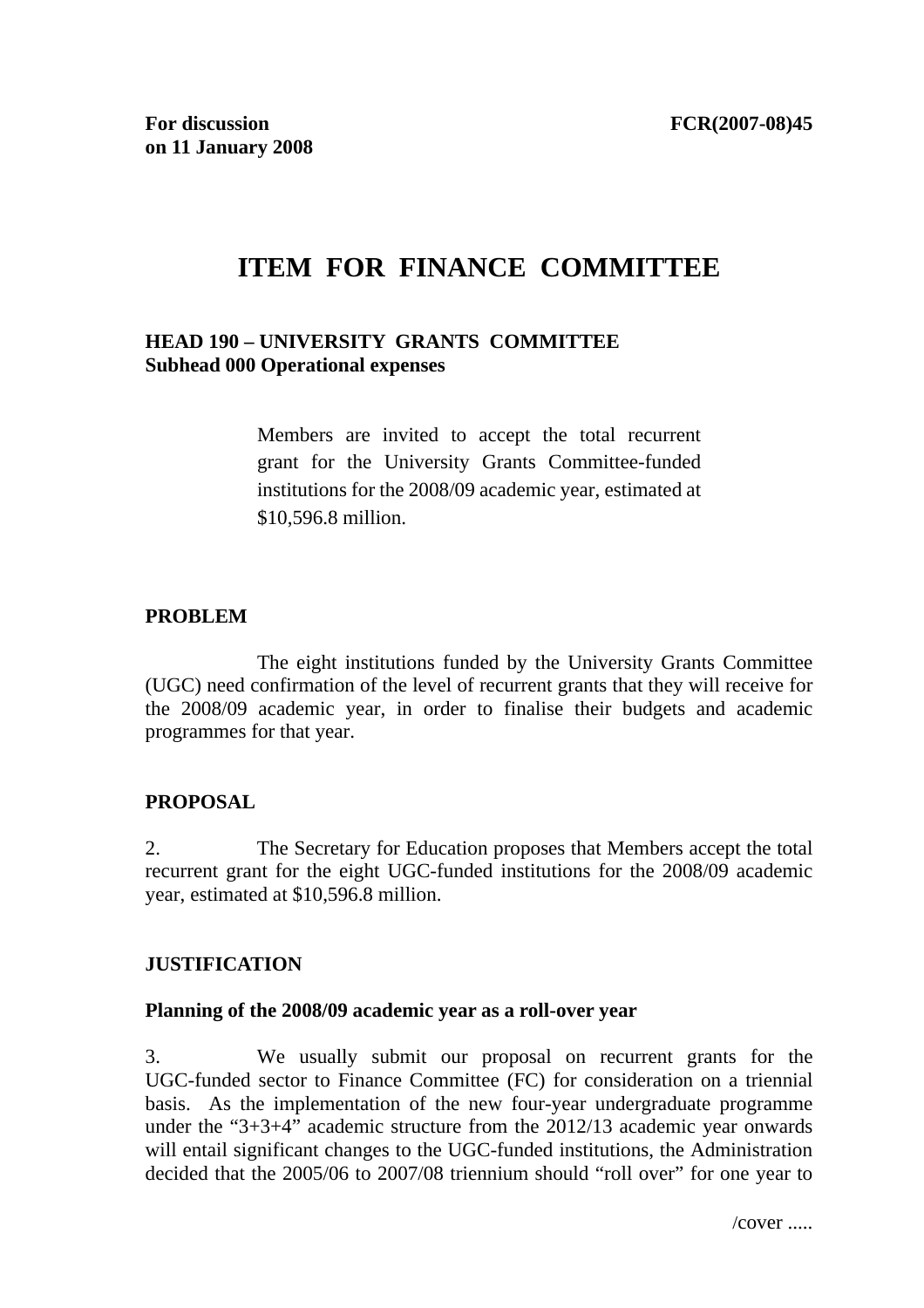# **ITEM FOR FINANCE COMMITTEE**

### **HEAD 190 – UNIVERSITY GRANTS COMMITTEE Subhead 000 Operational expenses**

Members are invited to accept the total recurrent grant for the University Grants Committee-funded institutions for the 2008/09 academic year, estimated at \$10,596.8 million.

#### **PROBLEM**

 The eight institutions funded by the University Grants Committee (UGC) need confirmation of the level of recurrent grants that they will receive for the 2008/09 academic year, in order to finalise their budgets and academic programmes for that year.

#### **PROPOSAL**

2. The Secretary for Education proposes that Members accept the total recurrent grant for the eight UGC-funded institutions for the 2008/09 academic year, estimated at \$10,596.8 million.

#### **JUSTIFICATION**

#### **Planning of the 2008/09 academic year as a roll-over year**

3. We usually submit our proposal on recurrent grants for the UGC-funded sector to Finance Committee (FC) for consideration on a triennial basis. As the implementation of the new four-year undergraduate programme under the "3+3+4" academic structure from the 2012/13 academic year onwards will entail significant changes to the UGC-funded institutions, the Administration decided that the 2005/06 to 2007/08 triennium should "roll over" for one year to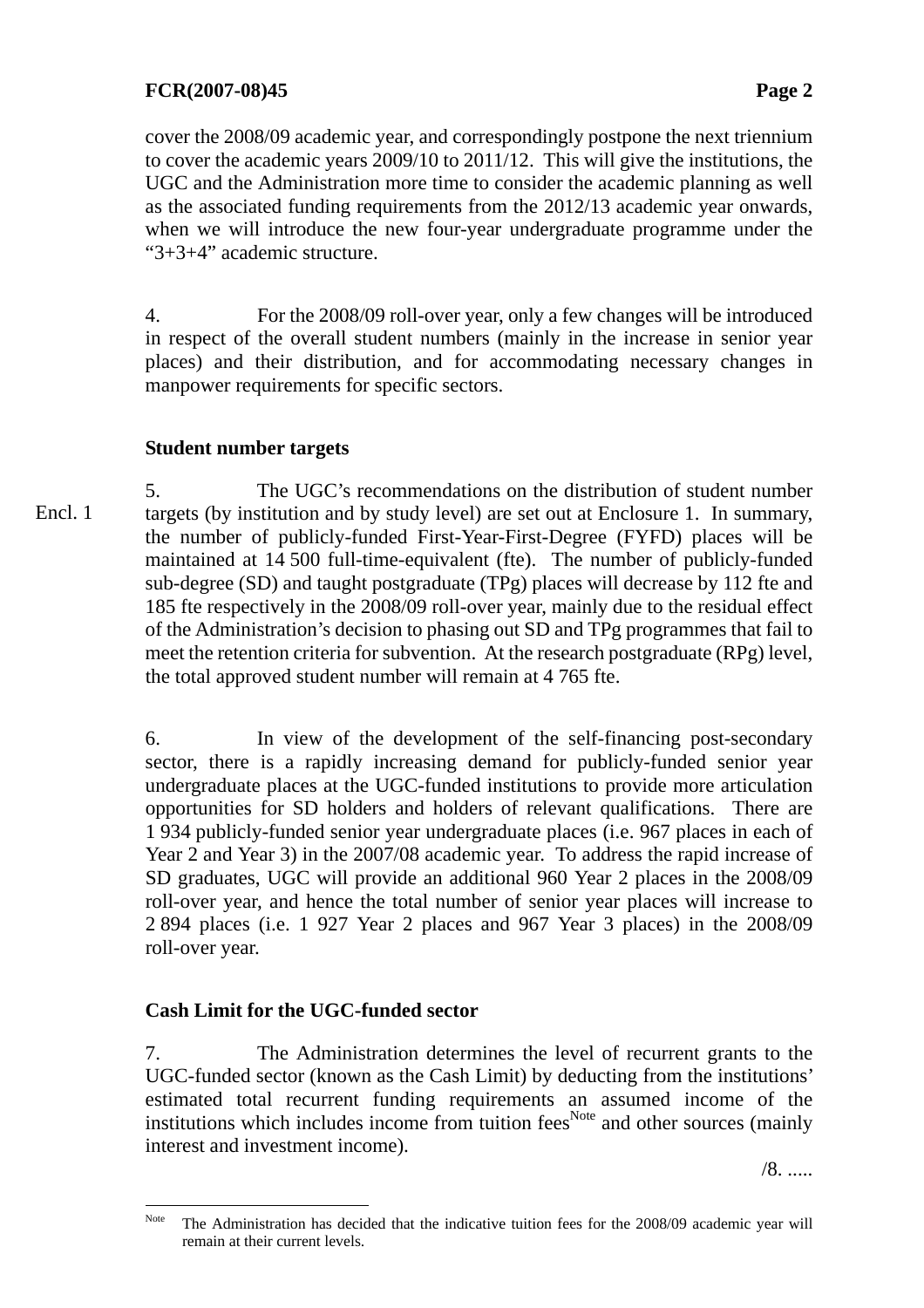### **FCR(2007-08)45 Page 2**

cover the 2008/09 academic year, and correspondingly postpone the next triennium to cover the academic years 2009/10 to 2011/12. This will give the institutions, the UGC and the Administration more time to consider the academic planning as well as the associated funding requirements from the 2012/13 academic year onwards, when we will introduce the new four-year undergraduate programme under the "3+3+4" academic structure.

4. For the 2008/09 roll-over year, only a few changes will be introduced in respect of the overall student numbers (mainly in the increase in senior year places) and their distribution, and for accommodating necessary changes in manpower requirements for specific sectors.

### **Student number targets**

5. The UGC's recommendations on the distribution of student number targets (by institution and by study level) are set out at Enclosure 1. In summary, the number of publicly-funded First-Year-First-Degree (FYFD) places will be maintained at 14 500 full-time-equivalent (fte). The number of publicly-funded sub-degree (SD) and taught postgraduate (TPg) places will decrease by 112 fte and 185 fte respectively in the 2008/09 roll-over year, mainly due to the residual effect of the Administration's decision to phasing out SD and TPg programmes that fail to meet the retention criteria for subvention. At the research postgraduate (RPg) level, the total approved student number will remain at 4 765 fte. Encl. 1

> 6. In view of the development of the self-financing post-secondary sector, there is a rapidly increasing demand for publicly-funded senior year undergraduate places at the UGC-funded institutions to provide more articulation opportunities for SD holders and holders of relevant qualifications. There are 1 934 publicly-funded senior year undergraduate places (i.e. 967 places in each of Year 2 and Year 3) in the 2007/08 academic year. To address the rapid increase of SD graduates, UGC will provide an additional 960 Year 2 places in the 2008/09 roll-over year, and hence the total number of senior year places will increase to 2 894 places (i.e. 1 927 Year 2 places and 967 Year 3 places) in the 2008/09 roll-over year.

### **Cash Limit for the UGC-funded sector**

7. The Administration determines the level of recurrent grants to the UGC-funded sector (known as the Cash Limit) by deducting from the institutions' estimated total recurrent funding requirements an assumed income of the institutions which includes income from tuition fees<sup>Note</sup> and other sources (mainly interest and investment income).

/8. .....

Note The Administration has decided that the indicative tuition fees for the 2008/09 academic year will remain at their current levels.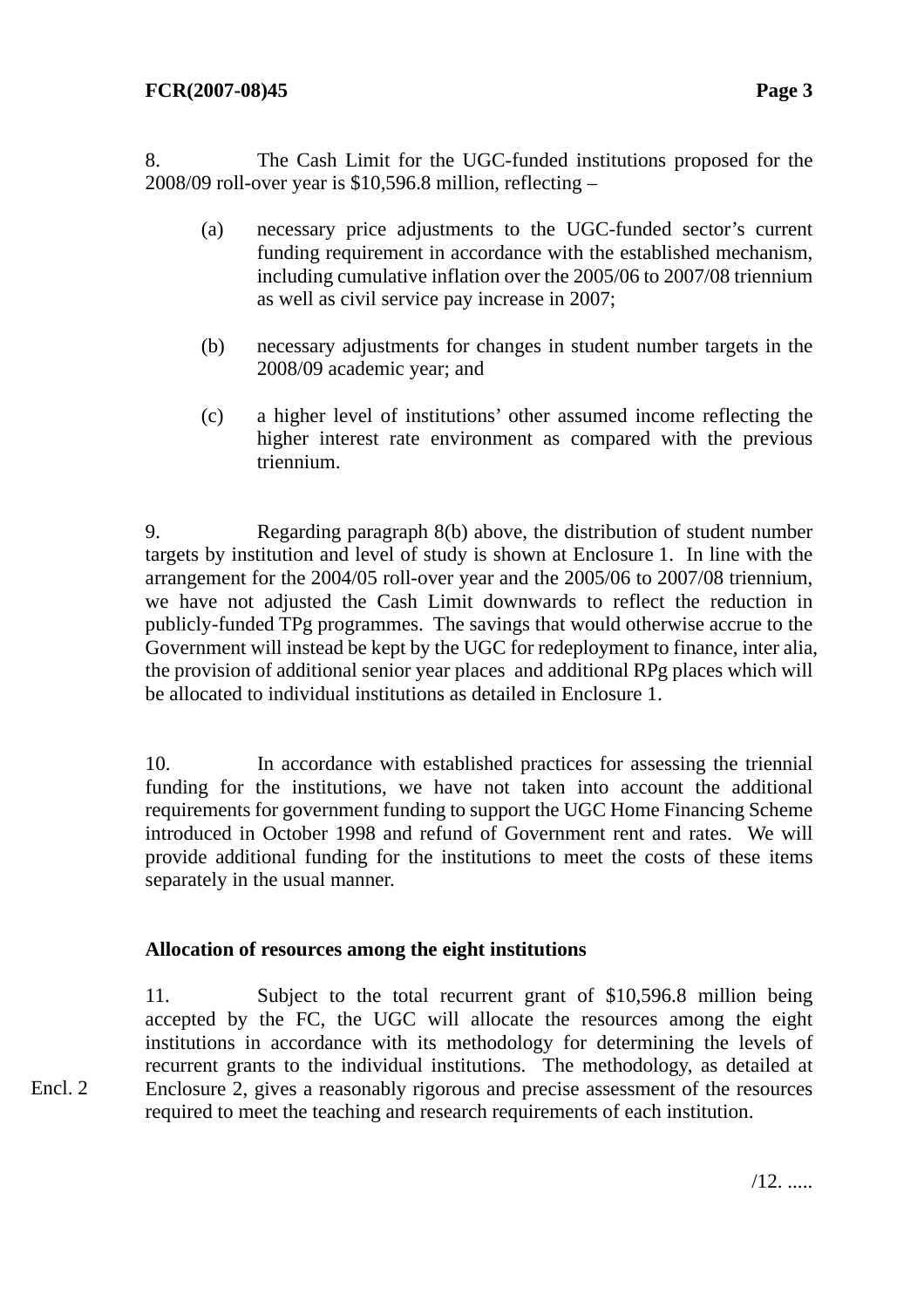8. The Cash Limit for the UGC-funded institutions proposed for the 2008/09 roll-over year is \$10,596.8 million, reflecting –

- (a) necessary price adjustments to the UGC-funded sector's current funding requirement in accordance with the established mechanism, including cumulative inflation over the 2005/06 to 2007/08 triennium as well as civil service pay increase in 2007;
- (b) necessary adjustments for changes in student number targets in the 2008/09 academic year; and
- (c) a higher level of institutions' other assumed income reflecting the higher interest rate environment as compared with the previous triennium.

9. Regarding paragraph 8(b) above, the distribution of student number targets by institution and level of study is shown at Enclosure 1. In line with the arrangement for the 2004/05 roll-over year and the 2005/06 to 2007/08 triennium, we have not adjusted the Cash Limit downwards to reflect the reduction in publicly-funded TPg programmes. The savings that would otherwise accrue to the Government will instead be kept by the UGC for redeployment to finance, inter alia, the provision of additional senior year places and additional RPg places which will be allocated to individual institutions as detailed in Enclosure 1.

10. In accordance with established practices for assessing the triennial funding for the institutions, we have not taken into account the additional requirements for government funding to support the UGC Home Financing Scheme introduced in October 1998 and refund of Government rent and rates. We will provide additional funding for the institutions to meet the costs of these items separately in the usual manner.

### **Allocation of resources among the eight institutions**

Encl. 2

11. Subject to the total recurrent grant of \$10,596.8 million being accepted by the FC, the UGC will allocate the resources among the eight institutions in accordance with its methodology for determining the levels of recurrent grants to the individual institutions. The methodology, as detailed at Enclosure 2, gives a reasonably rigorous and precise assessment of the resources required to meet the teaching and research requirements of each institution.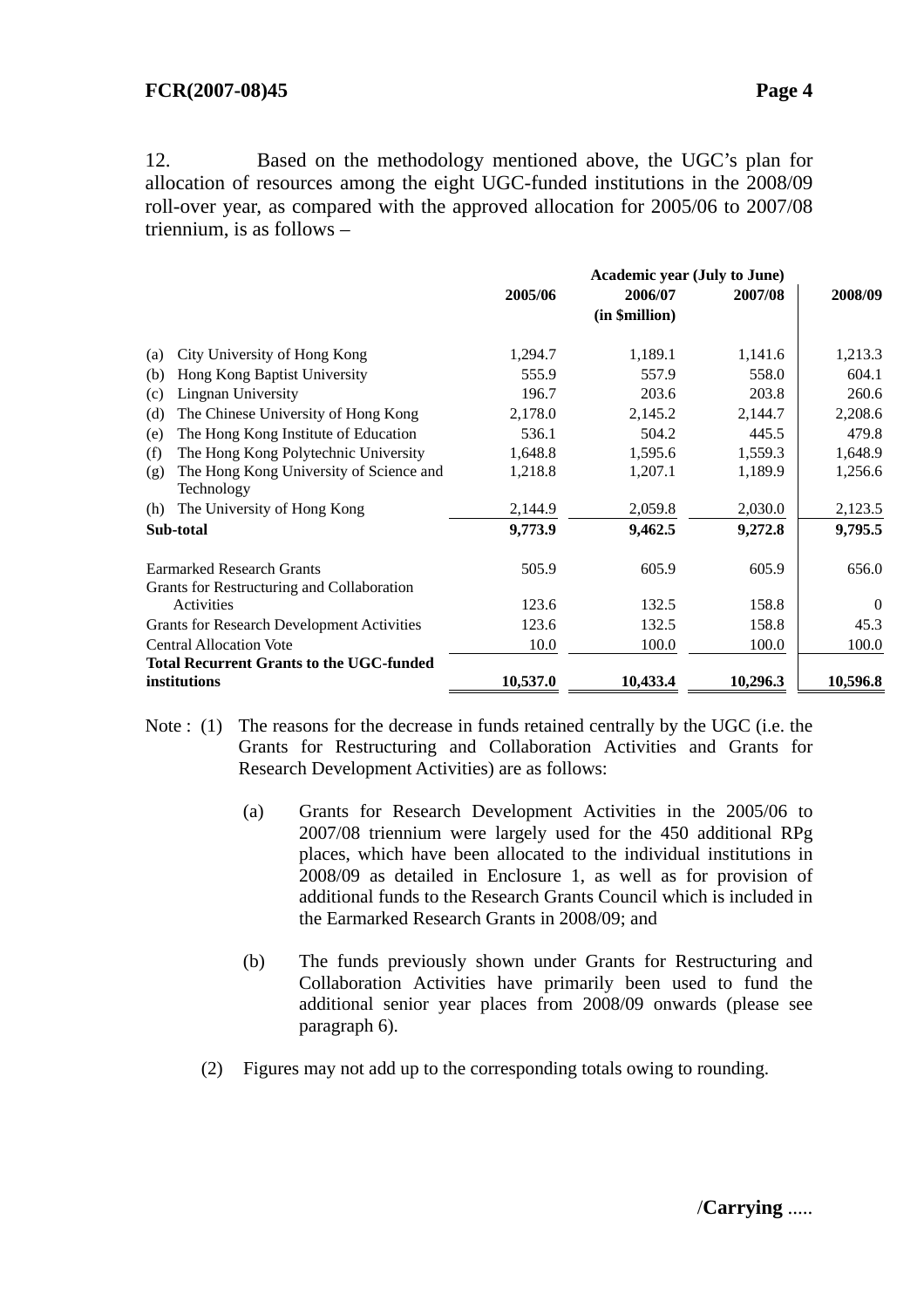#### **FCR(2007-08)45 Page 4**

12. Based on the methodology mentioned above, the UGC's plan for allocation of resources among the eight UGC-funded institutions in the 2008/09 roll-over year, as compared with the approved allocation for 2005/06 to 2007/08 triennium, is as follows –

|                                                                 | <b>Academic year (July to June)</b> |                |          |                |
|-----------------------------------------------------------------|-------------------------------------|----------------|----------|----------------|
|                                                                 | 2005/06                             | 2006/07        | 2007/08  | 2008/09        |
|                                                                 |                                     | (in \$million) |          |                |
| City University of Hong Kong<br>(a)                             | 1,294.7                             | 1,189.1        | 1,141.6  | 1,213.3        |
| Hong Kong Baptist University<br>(b)                             | 555.9                               | 557.9          | 558.0    | 604.1          |
| Lingnan University<br>(c)                                       | 196.7                               | 203.6          | 203.8    | 260.6          |
| The Chinese University of Hong Kong<br>(d)                      | 2,178.0                             | 2,145.2        | 2,144.7  | 2,208.6        |
| The Hong Kong Institute of Education<br>(e)                     | 536.1                               | 504.2          | 445.5    | 479.8          |
| The Hong Kong Polytechnic University<br>(f)                     | 1,648.8                             | 1,595.6        | 1,559.3  | 1,648.9        |
| The Hong Kong University of Science and<br>(g)<br>Technology    | 1,218.8                             | 1,207.1        | 1,189.9  | 1,256.6        |
| The University of Hong Kong<br>(h)                              | 2,144.9                             | 2,059.8        | 2,030.0  | 2,123.5        |
| Sub-total                                                       | 9,773.9                             | 9,462.5        | 9,272.8  | 9,795.5        |
| <b>Earmarked Research Grants</b>                                | 505.9                               | 605.9          | 605.9    | 656.0          |
| Grants for Restructuring and Collaboration                      |                                     |                |          |                |
| Activities                                                      | 123.6                               | 132.5          | 158.8    | $\overline{0}$ |
| <b>Grants for Research Development Activities</b>               | 123.6                               | 132.5          | 158.8    | 45.3           |
| <b>Central Allocation Vote</b>                                  | 10.0                                | 100.0          | 100.0    | 100.0          |
| <b>Total Recurrent Grants to the UGC-funded</b><br>institutions | 10,537.0                            | 10,433.4       | 10,296.3 | 10,596.8       |

- Note : (1) The reasons for the decrease in funds retained centrally by the UGC (i.e. the Grants for Restructuring and Collaboration Activities and Grants for Research Development Activities) are as follows:
	- (a) Grants for Research Development Activities in the 2005/06 to 2007/08 triennium were largely used for the 450 additional RPg places, which have been allocated to the individual institutions in 2008/09 as detailed in Enclosure 1, as well as for provision of additional funds to the Research Grants Council which is included in the Earmarked Research Grants in 2008/09; and
	- (b) The funds previously shown under Grants for Restructuring and Collaboration Activities have primarily been used to fund the additional senior year places from 2008/09 onwards (please see paragraph 6).
	- (2) Figures may not add up to the corresponding totals owing to rounding.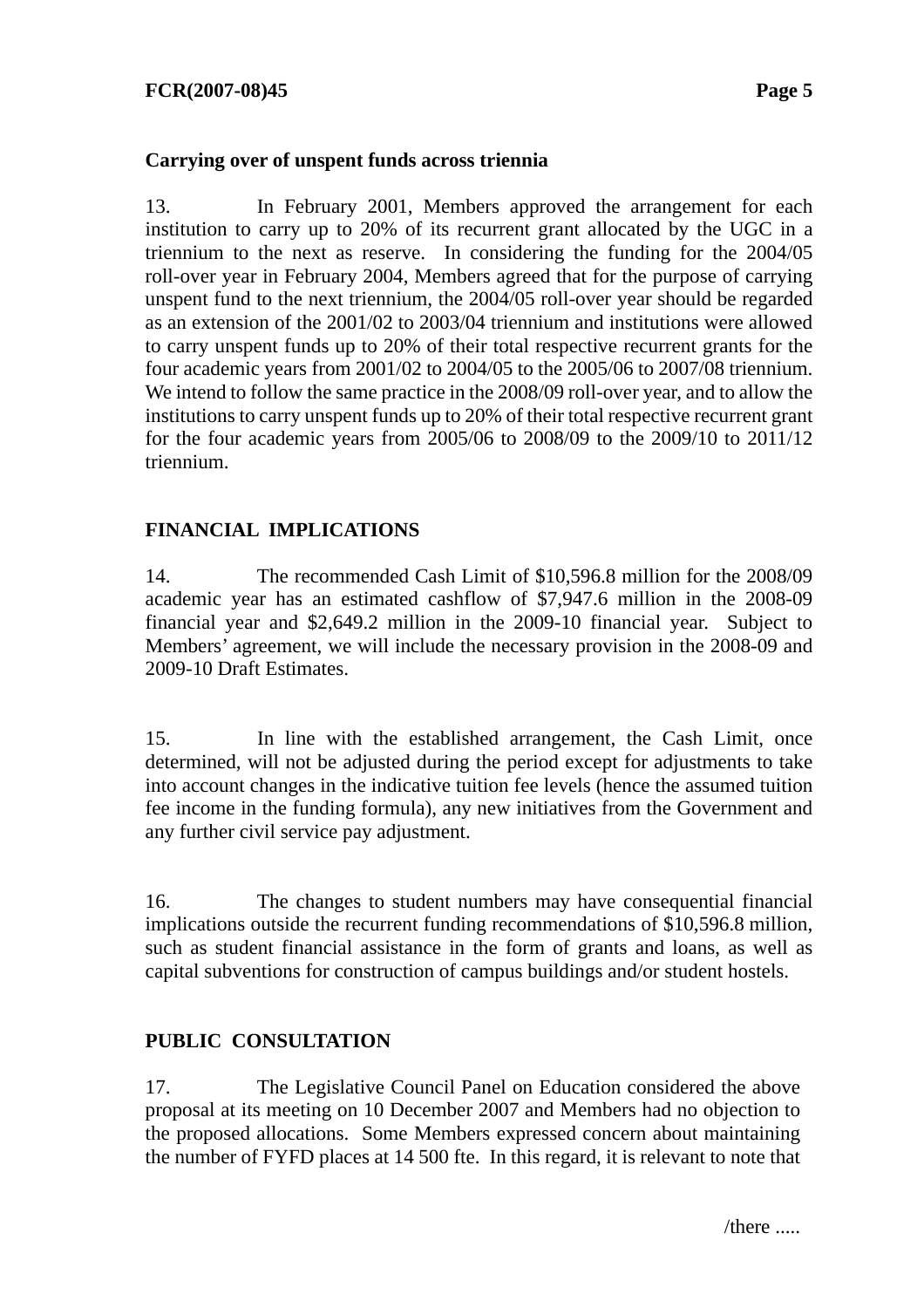#### **Carrying over of unspent funds across triennia**

13. In February 2001, Members approved the arrangement for each institution to carry up to 20% of its recurrent grant allocated by the UGC in a triennium to the next as reserve. In considering the funding for the 2004/05 roll-over year in February 2004, Members agreed that for the purpose of carrying unspent fund to the next triennium, the 2004/05 roll-over year should be regarded as an extension of the 2001/02 to 2003/04 triennium and institutions were allowed to carry unspent funds up to 20% of their total respective recurrent grants for the four academic years from 2001/02 to 2004/05 to the 2005/06 to 2007/08 triennium. We intend to follow the same practice in the 2008/09 roll-over year, and to allow the institutions to carry unspent funds up to 20% of their total respective recurrent grant for the four academic years from 2005/06 to 2008/09 to the 2009/10 to 2011/12 triennium.

### **FINANCIAL IMPLICATIONS**

14. The recommended Cash Limit of \$10,596.8 million for the 2008/09 academic year has an estimated cashflow of \$7,947.6 million in the 2008-09 financial year and \$2,649.2 million in the 2009-10 financial year. Subject to Members' agreement, we will include the necessary provision in the 2008-09 and 2009-10 Draft Estimates.

15. In line with the established arrangement, the Cash Limit, once determined, will not be adjusted during the period except for adjustments to take into account changes in the indicative tuition fee levels (hence the assumed tuition fee income in the funding formula), any new initiatives from the Government and any further civil service pay adjustment.

16. The changes to student numbers may have consequential financial implications outside the recurrent funding recommendations of \$10,596.8 million, such as student financial assistance in the form of grants and loans, as well as capital subventions for construction of campus buildings and/or student hostels.

### **PUBLIC CONSULTATION**

17. The Legislative Council Panel on Education considered the above proposal at its meeting on 10 December 2007 and Members had no objection to the proposed allocations. Some Members expressed concern about maintaining the number of FYFD places at 14 500 fte. In this regard, it is relevant to note that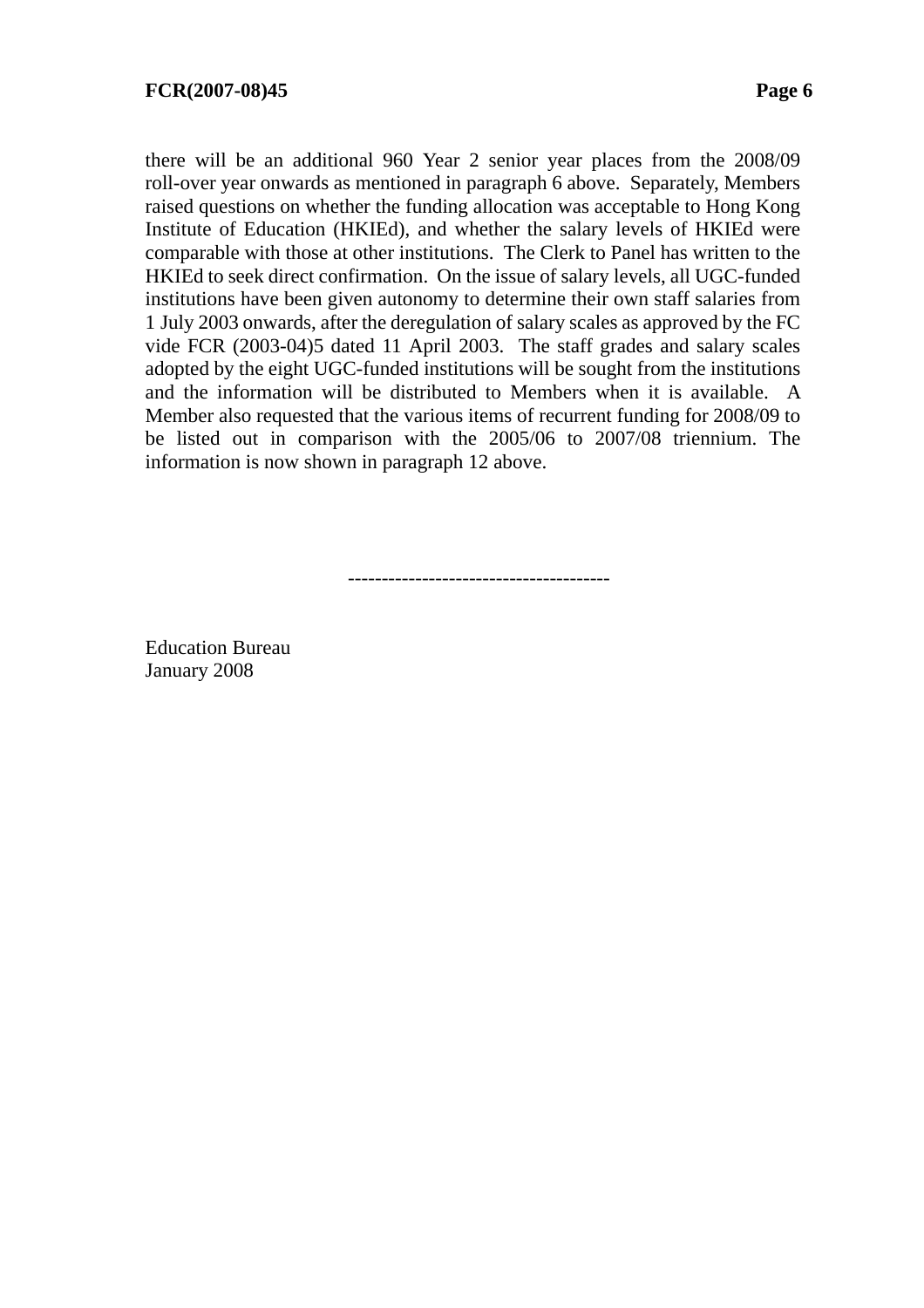there will be an additional 960 Year 2 senior year places from the 2008/09 roll-over year onwards as mentioned in paragraph 6 above. Separately, Members raised questions on whether the funding allocation was acceptable to Hong Kong Institute of Education (HKIEd), and whether the salary levels of HKIEd were comparable with those at other institutions. The Clerk to Panel has written to the HKIEd to seek direct confirmation. On the issue of salary levels, all UGC-funded institutions have been given autonomy to determine their own staff salaries from 1 July 2003 onwards, after the deregulation of salary scales as approved by the FC vide FCR (2003-04)5 dated 11 April 2003. The staff grades and salary scales adopted by the eight UGC-funded institutions will be sought from the institutions and the information will be distributed to Members when it is available. A Member also requested that the various items of recurrent funding for 2008/09 to be listed out in comparison with the 2005/06 to 2007/08 triennium. The information is now shown in paragraph 12 above.

---------------------------------------

Education Bureau January 2008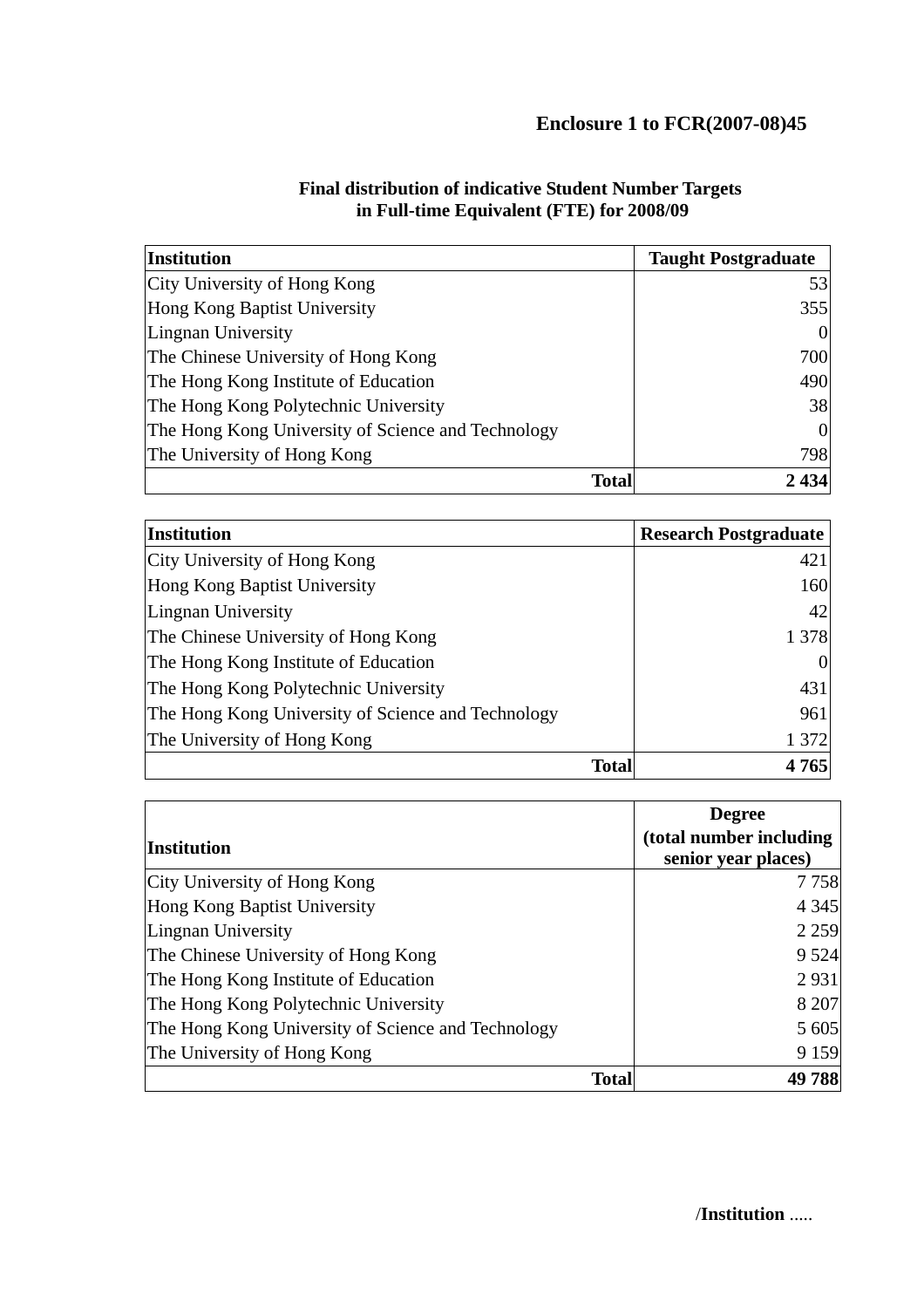| <b>Institution</b>                                 | <b>Taught Postgraduate</b> |
|----------------------------------------------------|----------------------------|
| City University of Hong Kong                       | 53                         |
| Hong Kong Baptist University                       | 355                        |
| Lingnan University                                 |                            |
| The Chinese University of Hong Kong                | 700                        |
| The Hong Kong Institute of Education               | 490                        |
| The Hong Kong Polytechnic University               | 38                         |
| The Hong Kong University of Science and Technology |                            |
| The University of Hong Kong                        | 798                        |
| <b>Total</b>                                       | 2434                       |

#### **Final distribution of indicative Student Number Targets in Full-time Equivalent (FTE) for 2008/09**

| <b>Institution</b>                                 | <b>Research Postgraduate</b> |
|----------------------------------------------------|------------------------------|
| City University of Hong Kong                       | 421                          |
| Hong Kong Baptist University                       | 160                          |
| Lingnan University                                 | 42                           |
| The Chinese University of Hong Kong                | 1 3 7 8                      |
| The Hong Kong Institute of Education               |                              |
| The Hong Kong Polytechnic University               | 431                          |
| The Hong Kong University of Science and Technology | 961                          |
| The University of Hong Kong                        | 1 372                        |
| <b>Total</b>                                       | 4765                         |

|                                                    | <b>Degree</b>           |
|----------------------------------------------------|-------------------------|
| Institution                                        | (total number including |
|                                                    | senior year places)     |
| City University of Hong Kong                       | 7758                    |
| Hong Kong Baptist University                       | 4 3 4 5                 |
| Lingnan University                                 | 2 2 5 9                 |
| The Chinese University of Hong Kong                | 9 5 24                  |
| The Hong Kong Institute of Education               | 2931                    |
| The Hong Kong Polytechnic University               | 8 207                   |
| The Hong Kong University of Science and Technology | 5 605                   |
| The University of Hong Kong                        | 9 1 5 9                 |
| <b>Total</b>                                       | 49788                   |

/**Institution** .....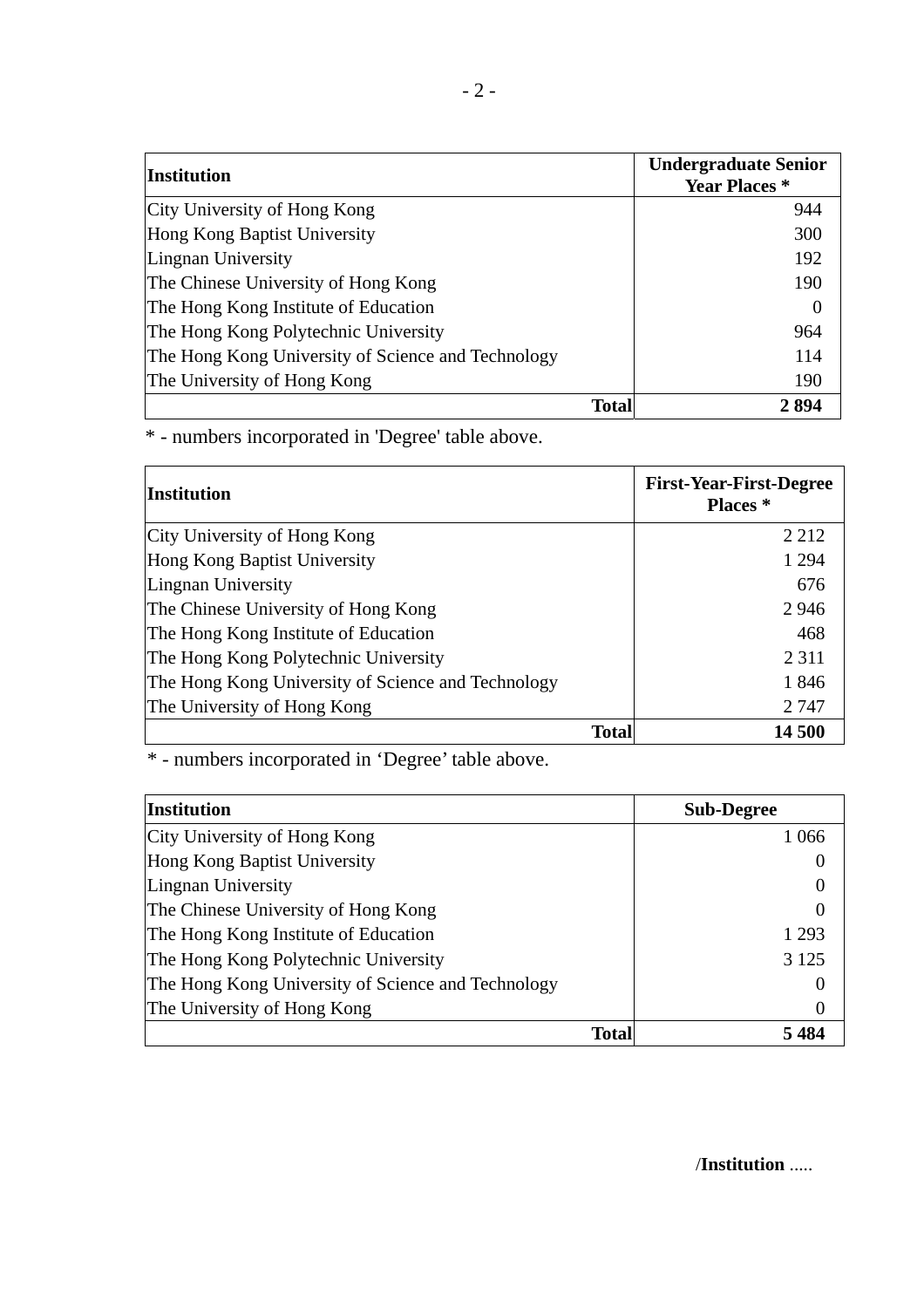| <b>Institution</b>                                 | <b>Undergraduate Senior</b><br><b>Year Places</b> * |
|----------------------------------------------------|-----------------------------------------------------|
| City University of Hong Kong                       | 944                                                 |
| Hong Kong Baptist University                       | 300                                                 |
| Lingnan University                                 | 192                                                 |
| The Chinese University of Hong Kong                | 190                                                 |
| The Hong Kong Institute of Education               | $\left($                                            |
| The Hong Kong Polytechnic University               | 964                                                 |
| The Hong Kong University of Science and Technology | 114                                                 |
| The University of Hong Kong                        | 190                                                 |
| Total                                              | 2894                                                |

\* - numbers incorporated in 'Degree' table above.

| Institution                                        | <b>First-Year-First-Degree</b><br>Places <sup>*</sup> |
|----------------------------------------------------|-------------------------------------------------------|
| City University of Hong Kong                       | 2 2 1 2                                               |
| Hong Kong Baptist University                       | 1 2 9 4                                               |
| Lingnan University                                 | 676                                                   |
| The Chinese University of Hong Kong                | 2946                                                  |
| The Hong Kong Institute of Education               | 468                                                   |
| The Hong Kong Polytechnic University               | 2 3 1 1                                               |
| The Hong Kong University of Science and Technology | 1846                                                  |
| The University of Hong Kong                        | 2 7 4 7                                               |
| <b>Total</b>                                       | 14 500                                                |

\* - numbers incorporated in 'Degree' table above.

| Institution                                        | <b>Sub-Degree</b> |
|----------------------------------------------------|-------------------|
| City University of Hong Kong                       | 1 0 6 6           |
| Hong Kong Baptist University                       |                   |
| Lingnan University                                 |                   |
| The Chinese University of Hong Kong                | $\theta$          |
| The Hong Kong Institute of Education               | 1 2 9 3           |
| The Hong Kong Polytechnic University               | 3 1 2 5           |
| The Hong Kong University of Science and Technology |                   |
| The University of Hong Kong                        |                   |
| <b>Total</b>                                       | 5 484             |

/**Institution** .....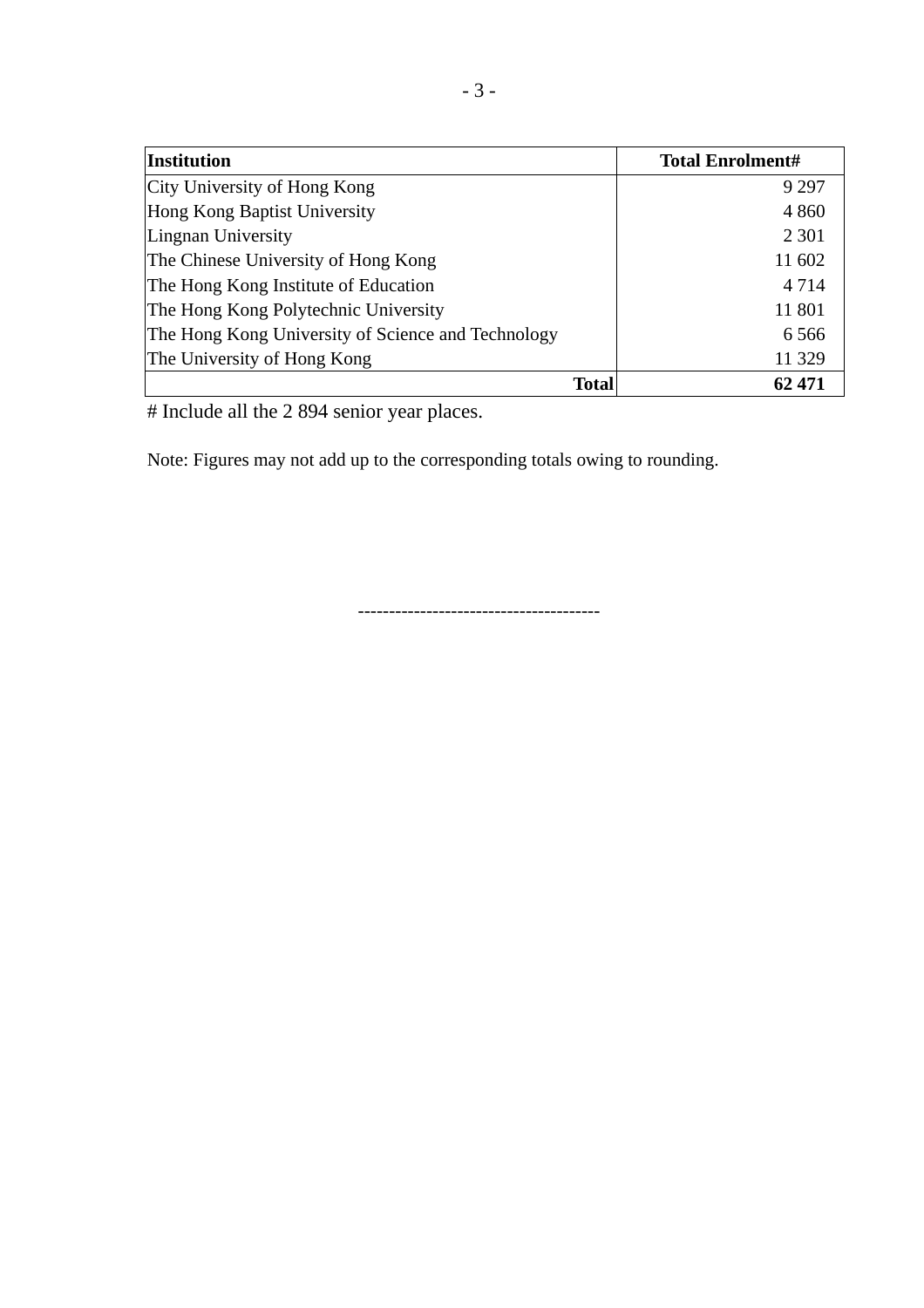| <b>Institution</b>                                 | <b>Total Enrolment#</b> |
|----------------------------------------------------|-------------------------|
| City University of Hong Kong                       | 9 2 9 7                 |
| Hong Kong Baptist University                       | 4 8 6 0                 |
| Lingnan University                                 | 2 3 0 1                 |
| The Chinese University of Hong Kong                | 11 602                  |
| The Hong Kong Institute of Education               | 4 7 1 4                 |
| The Hong Kong Polytechnic University               | 11 801                  |
| The Hong Kong University of Science and Technology | 6 5 6 6                 |
| The University of Hong Kong                        | 11 329                  |
| Total                                              | 62 471                  |

# Include all the 2 894 senior year places.

Note: Figures may not add up to the corresponding totals owing to rounding.

---------------------------------------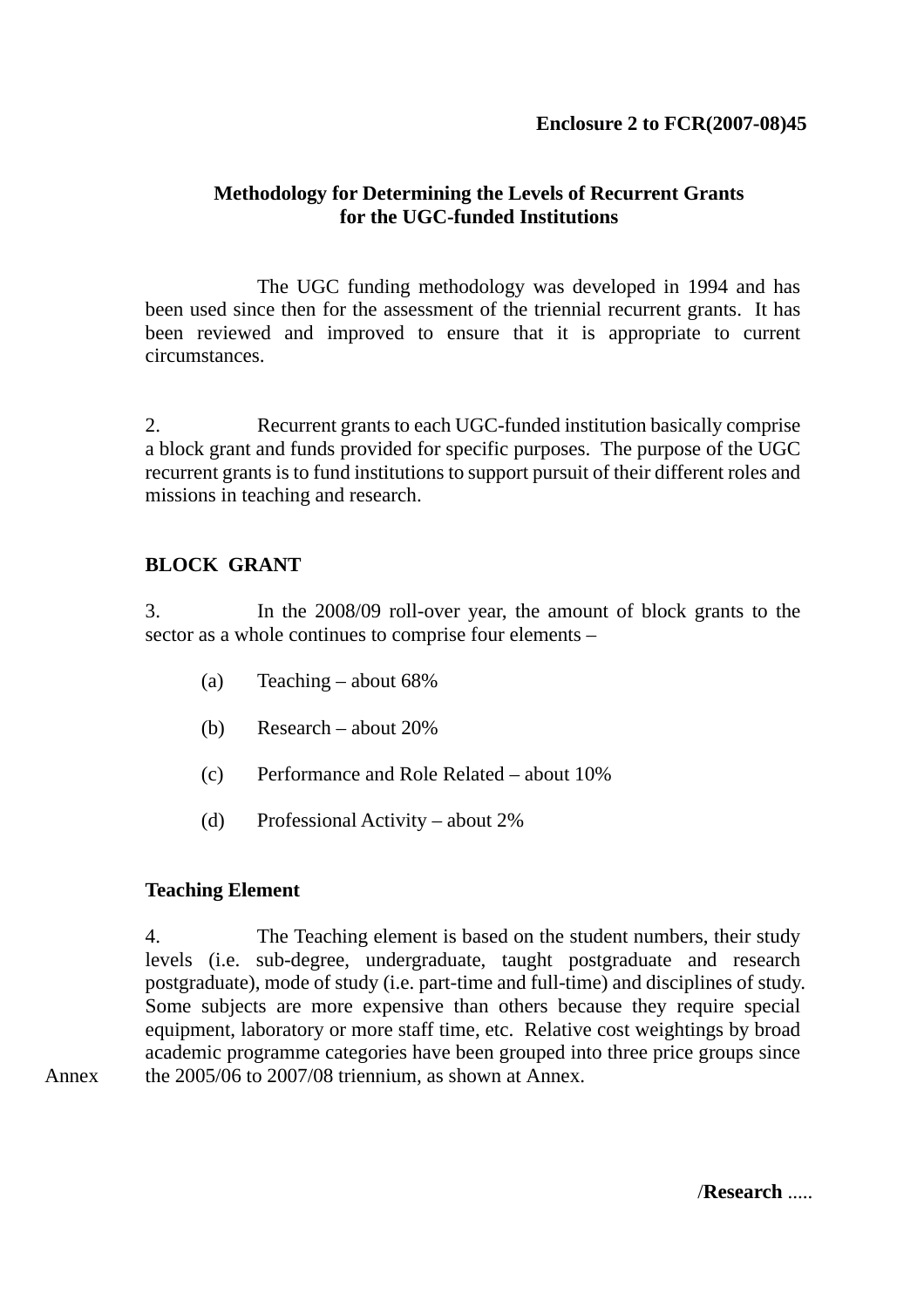### **Methodology for Determining the Levels of Recurrent Grants for the UGC-funded Institutions**

 The UGC funding methodology was developed in 1994 and has been used since then for the assessment of the triennial recurrent grants. It has been reviewed and improved to ensure that it is appropriate to current circumstances.

2. Recurrent grants to each UGC-funded institution basically comprise a block grant and funds provided for specific purposes. The purpose of the UGC recurrent grants is to fund institutions to support pursuit of their different roles and missions in teaching and research.

### **BLOCK GRANT**

3. In the 2008/09 roll-over year, the amount of block grants to the sector as a whole continues to comprise four elements –

- (a) Teaching about 68%
- (b) Research about 20%
- (c) Performance and Role Related about 10%
- (d) Professional Activity about 2%

#### **Teaching Element**

Annex

4. The Teaching element is based on the student numbers, their study levels (i.e. sub-degree, undergraduate, taught postgraduate and research postgraduate), mode of study (i.e. part-time and full-time) and disciplines of study. Some subjects are more expensive than others because they require special equipment, laboratory or more staff time, etc. Relative cost weightings by broad academic programme categories have been grouped into three price groups since the 2005/06 to 2007/08 triennium, as shown at Annex.

/**Research** .....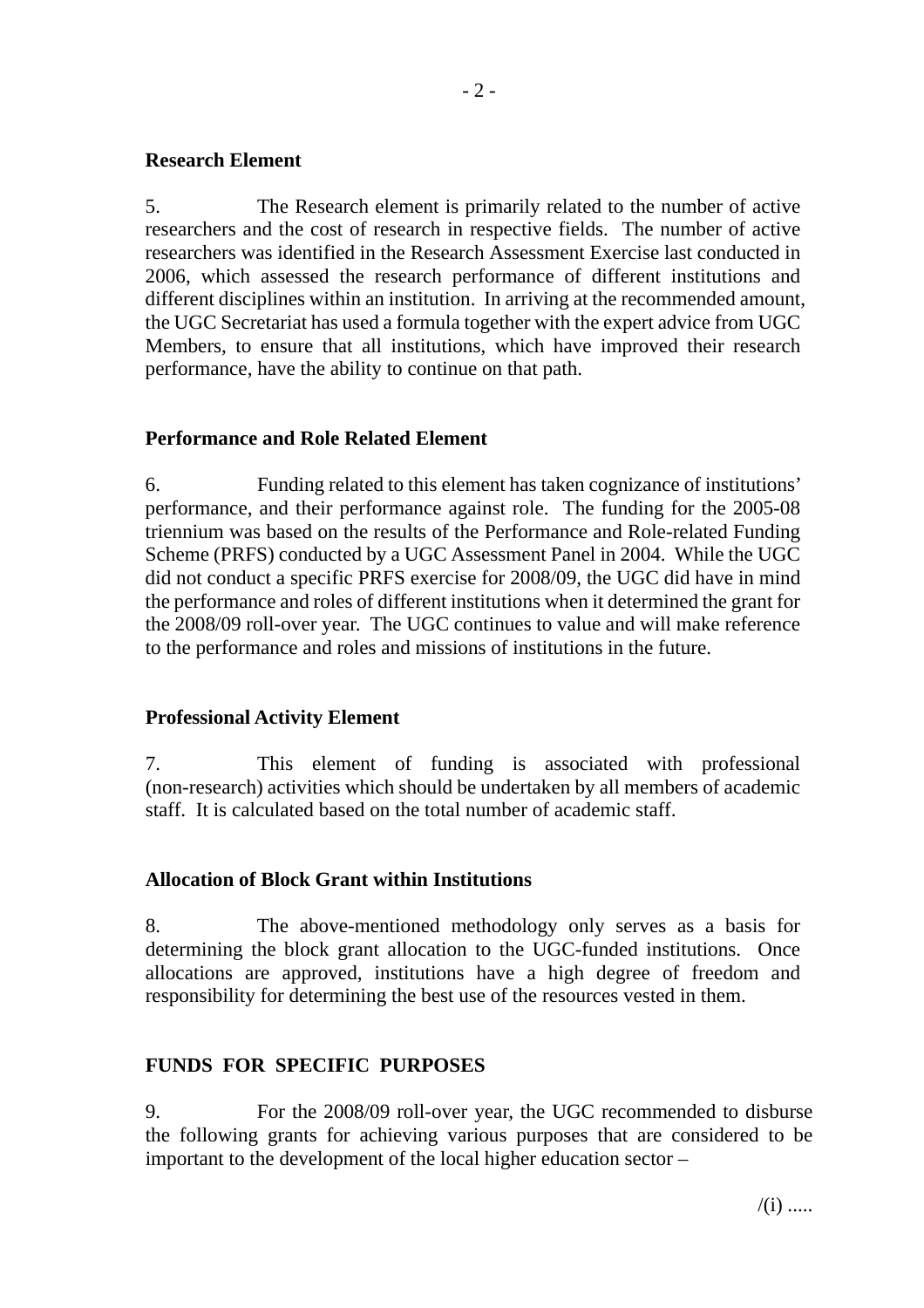#### **Research Element**

5. The Research element is primarily related to the number of active researchers and the cost of research in respective fields. The number of active researchers was identified in the Research Assessment Exercise last conducted in 2006, which assessed the research performance of different institutions and different disciplines within an institution. In arriving at the recommended amount, the UGC Secretariat has used a formula together with the expert advice from UGC Members, to ensure that all institutions, which have improved their research performance, have the ability to continue on that path.

#### **Performance and Role Related Element**

6. Funding related to this element has taken cognizance of institutions' performance, and their performance against role. The funding for the 2005-08 triennium was based on the results of the Performance and Role-related Funding Scheme (PRFS) conducted by a UGC Assessment Panel in 2004. While the UGC did not conduct a specific PRFS exercise for 2008/09, the UGC did have in mind the performance and roles of different institutions when it determined the grant for the 2008/09 roll-over year. The UGC continues to value and will make reference to the performance and roles and missions of institutions in the future.

#### **Professional Activity Element**

7. This element of funding is associated with professional (non-research) activities which should be undertaken by all members of academic staff. It is calculated based on the total number of academic staff.

### **Allocation of Block Grant within Institutions**

8. The above-mentioned methodology only serves as a basis for determining the block grant allocation to the UGC-funded institutions. Once allocations are approved, institutions have a high degree of freedom and responsibility for determining the best use of the resources vested in them.

### **FUNDS FOR SPECIFIC PURPOSES**

9. For the 2008/09 roll-over year, the UGC recommended to disburse the following grants for achieving various purposes that are considered to be important to the development of the local higher education sector –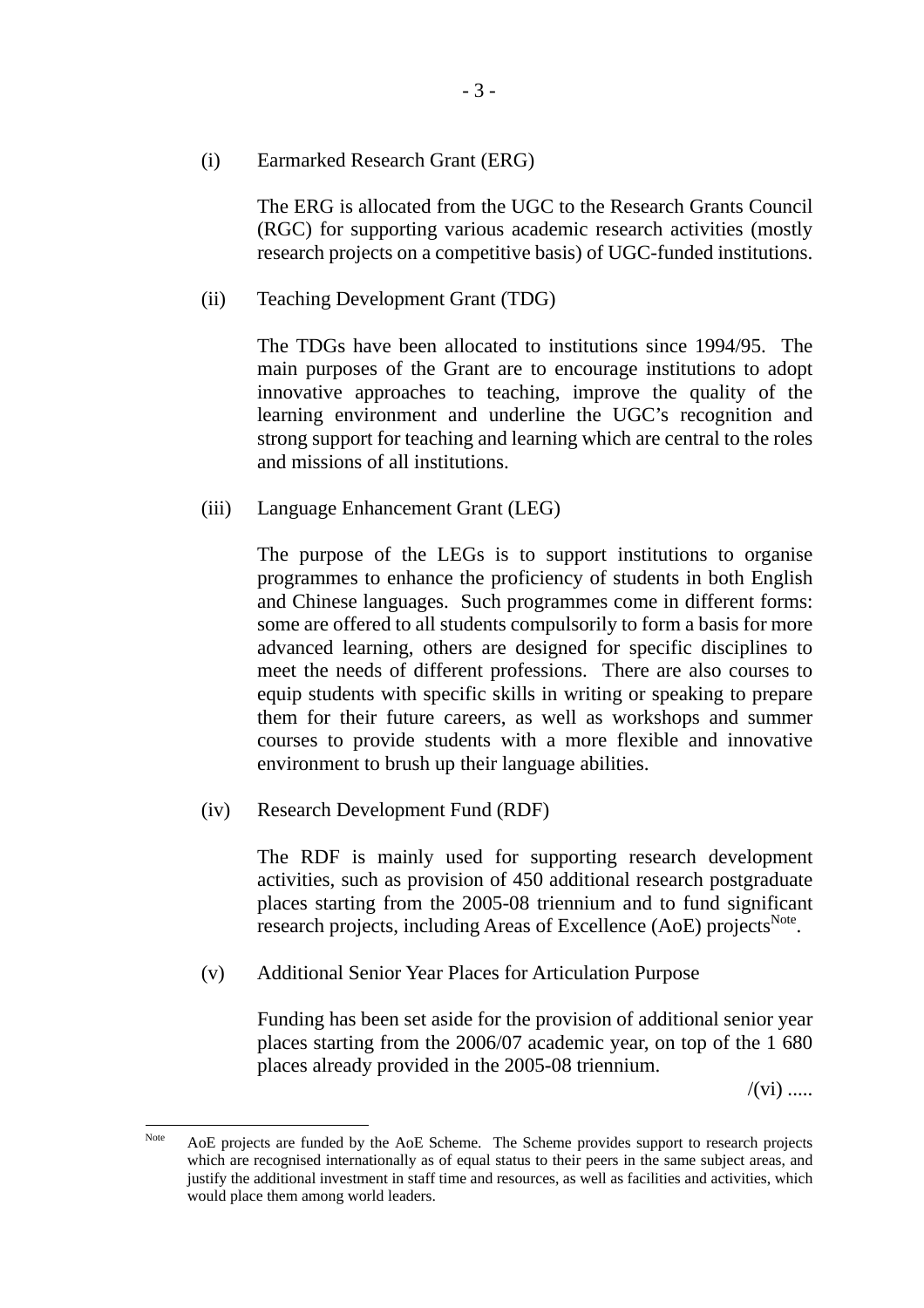(i) Earmarked Research Grant (ERG)

The ERG is allocated from the UGC to the Research Grants Council (RGC) for supporting various academic research activities (mostly research projects on a competitive basis) of UGC-funded institutions.

(ii) Teaching Development Grant (TDG)

The TDGs have been allocated to institutions since 1994/95. The main purposes of the Grant are to encourage institutions to adopt innovative approaches to teaching, improve the quality of the learning environment and underline the UGC's recognition and strong support for teaching and learning which are central to the roles and missions of all institutions.

(iii) Language Enhancement Grant (LEG)

The purpose of the LEGs is to support institutions to organise programmes to enhance the proficiency of students in both English and Chinese languages. Such programmes come in different forms: some are offered to all students compulsorily to form a basis for more advanced learning, others are designed for specific disciplines to meet the needs of different professions. There are also courses to equip students with specific skills in writing or speaking to prepare them for their future careers, as well as workshops and summer courses to provide students with a more flexible and innovative environment to brush up their language abilities.

(iv) Research Development Fund (RDF)

The RDF is mainly used for supporting research development activities, such as provision of 450 additional research postgraduate places starting from the 2005-08 triennium and to fund significant research projects, including Areas of Excellence (AoE) projects<sup>Note</sup>.

(v) Additional Senior Year Places for Articulation Purpose

Funding has been set aside for the provision of additional senior year places starting from the 2006/07 academic year, on top of the 1 680 places already provided in the 2005-08 triennium.

 $/(vi)$  .....

Note AoE projects are funded by the AoE Scheme. The Scheme provides support to research projects which are recognised internationally as of equal status to their peers in the same subject areas, and justify the additional investment in staff time and resources, as well as facilities and activities, which would place them among world leaders.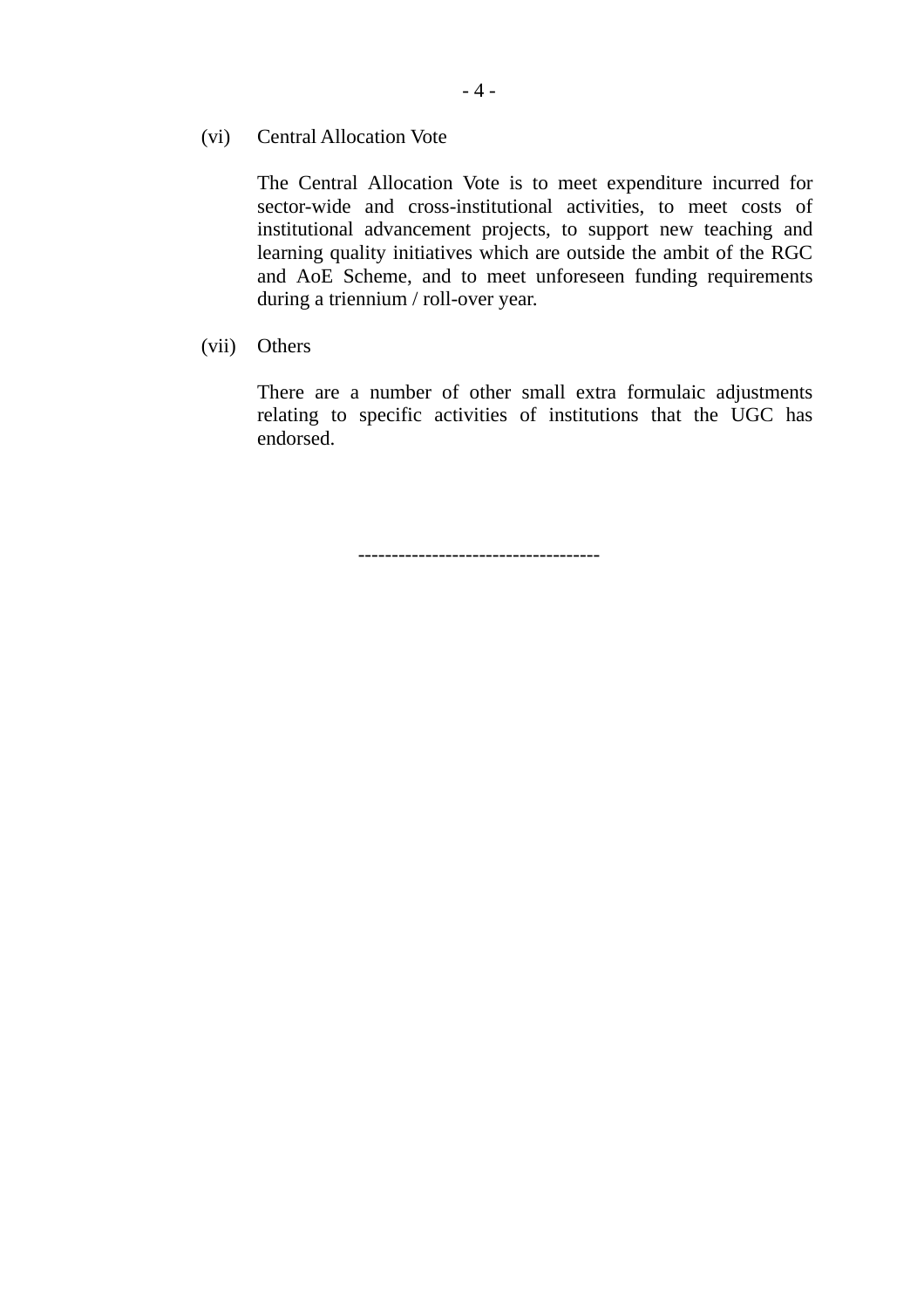(vi) Central Allocation Vote

The Central Allocation Vote is to meet expenditure incurred for sector-wide and cross-institutional activities, to meet costs of institutional advancement projects, to support new teaching and learning quality initiatives which are outside the ambit of the RGC and AoE Scheme, and to meet unforeseen funding requirements during a triennium / roll-over year.

(vii) Others

There are a number of other small extra formulaic adjustments relating to specific activities of institutions that the UGC has endorsed.

------------------------------------